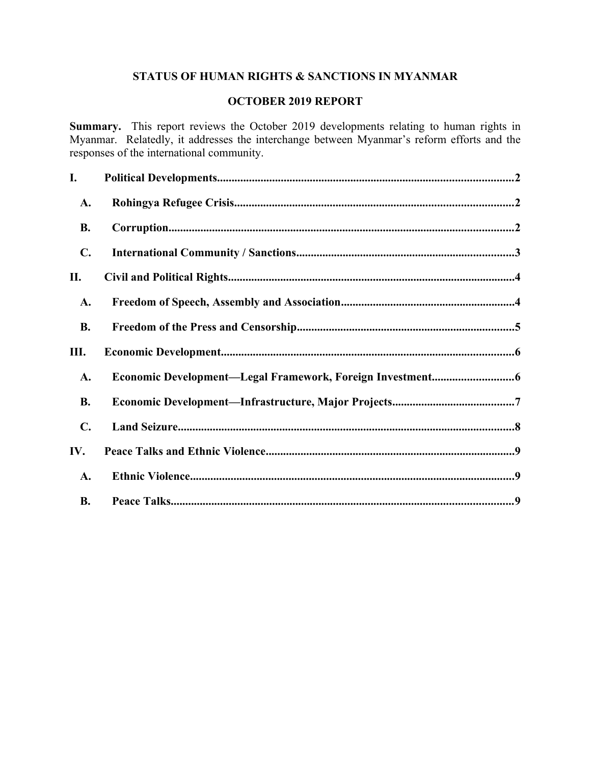# **STATUS OF HUMAN RIGHTS & SANCTIONS IN MYANMAR**

## **OCTOBER 2019 REPORT**

**Summary.** This report reviews the October 2019 developments relating to human rights in Myanmar. Relatedly, it addresses the interchange between Myanmar's reform efforts and the responses of the international community.

| I.             |  |
|----------------|--|
| A.             |  |
| <b>B.</b>      |  |
| $\mathbf{C}$ . |  |
| П.             |  |
| A.             |  |
| <b>B.</b>      |  |
| Ш.             |  |
| A.             |  |
| <b>B.</b>      |  |
| $\mathbf{C}$ . |  |
| IV.            |  |
| A.             |  |
| <b>B.</b>      |  |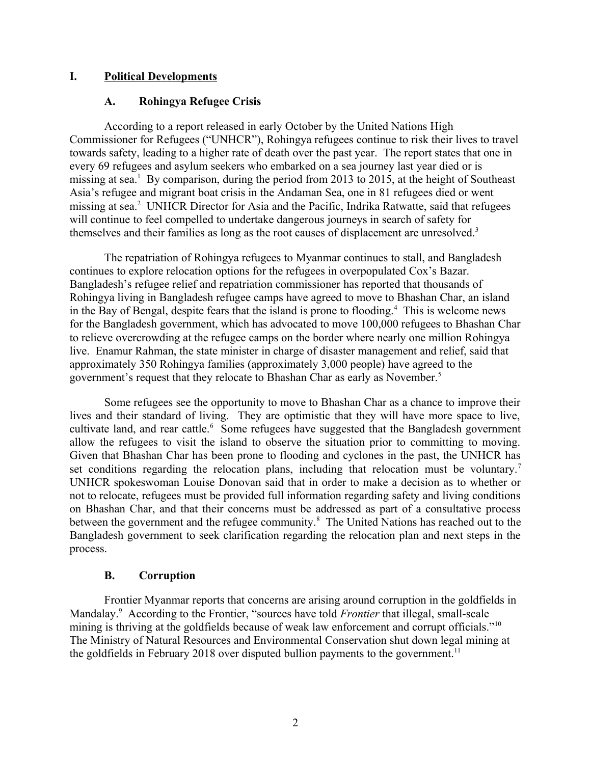## **I. Political Developments**

## <span id="page-1-2"></span><span id="page-1-0"></span>**A. Rohingya Refugee Crisis**

According to a report released in early October by the United Nations High Commissioner for Refugees ("UNHCR"), Rohingya refugees continue to risk their lives to travel towards safety, leading to a higher rate of death over the past year. The report states that one in every 69 refugees and asylum seekers who embarked on a sea journey last year died or is missing at sea.<sup>1</sup> By comparison, during the period from 2013 to 2015, at the height of Southeast Asia's refugee and migrant boat crisis in the Andaman Sea, one in 81 refugees died or went missing at sea.<sup>2</sup> UNHCR Director for Asia and the Pacific, Indrika Ratwatte, said that refugees will continue to feel compelled to undertake dangerous journeys in search of safety for themselves and their families as long as the root causes of displacement are unresolved.<sup>3</sup>

The repatriation of Rohingya refugees to Myanmar continues to stall, and Bangladesh continues to explore relocation options for the refugees in overpopulated Cox's Bazar. Bangladesh's refugee relief and repatriation commissioner has reported that thousands of Rohingya living in Bangladesh refugee camps have agreed to move to Bhashan Char, an island in the Bay of Bengal, despite fears that the island is prone to flooding.<sup>4</sup> This is welcome news for the Bangladesh government, which has advocated to move 100,000 refugees to Bhashan Char to relieve overcrowding at the refugee camps on the border where nearly one million Rohingya live. Enamur Rahman, the state minister in charge of disaster management and relief, said that approximately 350 Rohingya families (approximately 3,000 people) have agreed to the government's request that they relocate to Bhashan Char as early as November.<sup>5</sup>

Some refugees see the opportunity to move to Bhashan Char as a chance to improve their lives and their standard of living. They are optimistic that they will have more space to live, cultivate land, and rear cattle.<sup>6</sup> Some refugees have suggested that the Bangladesh government allow the refugees to visit the island to observe the situation prior to committing to moving. Given that Bhashan Char has been prone to flooding and cyclones in the past, the UNHCR has set conditions regarding the relocation plans, including that relocation must be voluntary.<sup>7</sup> UNHCR spokeswoman Louise Donovan said that in order to make a decision as to whether or not to relocate, refugees must be provided full information regarding safety and living conditions on Bhashan Char, and that their concerns must be addressed as part of a consultative process between the government and the refugee community.<sup>8</sup> The United Nations has reached out to the Bangladesh government to seek clarification regarding the relocation plan and next steps in the process.

#### <span id="page-1-1"></span>**B. Corruption**

Frontier Myanmar reports that concerns are arising around corruption in the goldfields in Mandalay.<sup>9</sup> According to the Frontier, "sources have told *Frontier* that illegal, small-scale mining is thriving at the goldfields because of weak law enforcement and corrupt officials."<sup>10</sup> The Ministry of Natural Resources and Environmental Conservation shut down legal mining at the goldfields in February 2018 over disputed bullion payments to the government.<sup>11</sup>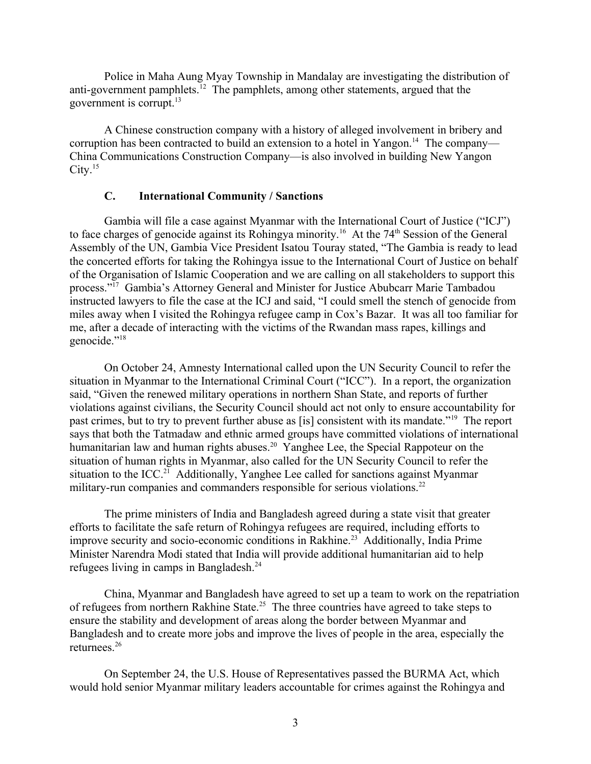Police in Maha Aung Myay Township in Mandalay are investigating the distribution of anti-government pamphlets.<sup>12</sup> The pamphlets, among other statements, argued that the government is corrupt.<sup>13</sup>

A Chinese construction company with a history of alleged involvement in bribery and corruption has been contracted to build an extension to a hotel in Yangon.<sup>14</sup> The company— China Communications Construction Company—is also involved in building New Yangon  $City.<sup>15</sup>$ 

#### <span id="page-2-0"></span>**C. International Community / Sanctions**

Gambia will file a case against Myanmar with the International Court of Justice ("ICJ") to face charges of genocide against its Rohingya minority.<sup>16</sup> At the 74<sup>th</sup> Session of the General Assembly of the UN, Gambia Vice President Isatou Touray stated, "The Gambia is ready to lead the concerted efforts for taking the Rohingya issue to the International Court of Justice on behalf of the Organisation of Islamic Cooperation and we are calling on all stakeholders to support this process."<sup>17</sup> Gambia's Attorney General and Minister for Justice Abubcarr Marie Tambadou instructed lawyers to file the case at the ICJ and said, "I could smell the stench of genocide from miles away when I visited the Rohingya refugee camp in Cox's Bazar. It was all too familiar for me, after a decade of interacting with the victims of the Rwandan mass rapes, killings and genocide."<sup>18</sup>

On October 24, Amnesty International called upon the UN Security Council to refer the situation in Myanmar to the International Criminal Court ("ICC"). In a report, the organization said, "Given the renewed military operations in northern Shan State, and reports of further violations against civilians, the Security Council should act not only to ensure accountability for past crimes, but to try to prevent further abuse as [is] consistent with its mandate."<sup>19</sup> The report says that both the Tatmadaw and ethnic armed groups have committed violations of international humanitarian law and human rights abuses.<sup>20</sup> Yanghee Lee, the Special Rappoteur on the situation of human rights in Myanmar, also called for the UN Security Council to refer the situation to the ICC.<sup>21</sup> Additionally, Yanghee Lee called for sanctions against Myanmar military-run companies and commanders responsible for serious violations.<sup>22</sup>

The prime ministers of India and Bangladesh agreed during a state visit that greater efforts to facilitate the safe return of Rohingya refugees are required, including efforts to improve security and socio-economic conditions in Rakhine.<sup>23</sup> Additionally, India Prime Minister Narendra Modi stated that India will provide additional humanitarian aid to help refugees living in camps in Bangladesh.<sup>24</sup>

China, Myanmar and Bangladesh have agreed to set up a team to work on the repatriation of refugees from northern Rakhine State.<sup>25</sup> The three countries have agreed to take steps to ensure the stability and development of areas along the border between Myanmar and Bangladesh and to create more jobs and improve the lives of people in the area, especially the returnees.<sup>26</sup>

On September 24, the U.S. House of Representatives passed the BURMA Act, which would hold senior Myanmar military leaders accountable for crimes against the Rohingya and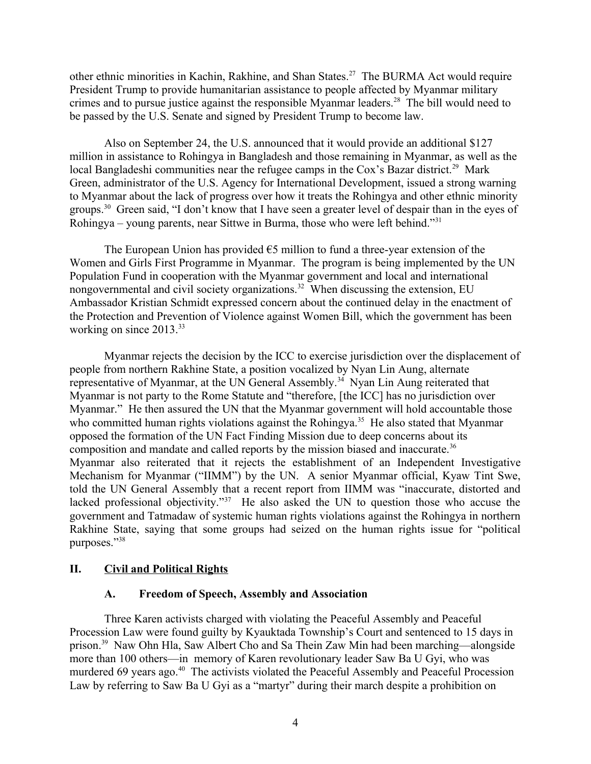other ethnic minorities in Kachin, Rakhine, and Shan States.<sup>27</sup> The BURMA Act would require President Trump to provide humanitarian assistance to people affected by Myanmar military crimes and to pursue justice against the responsible Myanmar leaders.<sup>28</sup> The bill would need to be passed by the U.S. Senate and signed by President Trump to become law.

Also on September 24, the U.S. announced that it would provide an additional \$127 million in assistance to Rohingya in Bangladesh and those remaining in Myanmar, as well as the local Bangladeshi communities near the refugee camps in the Cox's Bazar district.<sup>29</sup> Mark Green, administrator of the U.S. Agency for International Development, issued a strong warning to Myanmar about the lack of progress over how it treats the Rohingya and other ethnic minority groups.<sup>30</sup> Green said, "I don't know that I have seen a greater level of despair than in the eyes of Rohingya – young parents, near Sittwe in Burma, those who were left behind."<sup>31</sup>

The European Union has provided  $\epsilon$ 5 million to fund a three-year extension of the Women and Girls First Programme in Myanmar. The program is being implemented by the UN Population Fund in cooperation with the Myanmar government and local and international nongovernmental and civil society organizations.<sup>32</sup> When discussing the extension, EU Ambassador Kristian Schmidt expressed concern about the continued delay in the enactment of the Protection and Prevention of Violence against Women Bill, which the government has been working on since 2013.<sup>33</sup>

Myanmar rejects the decision by the ICC to exercise jurisdiction over the displacement of people from northern Rakhine State, a position vocalized by Nyan Lin Aung, alternate representative of Myanmar, at the UN General Assembly.<sup>34</sup> Nyan Lin Aung reiterated that Myanmar is not party to the Rome Statute and "therefore, [the ICC] has no jurisdiction over Myanmar." He then assured the UN that the Myanmar government will hold accountable those who committed human rights violations against the Rohingya.<sup>35</sup> He also stated that Myanmar opposed the formation of the UN Fact Finding Mission due to deep concerns about its composition and mandate and called reports by the mission biased and inaccurate.<sup>36</sup> Myanmar also reiterated that it rejects the establishment of an Independent Investigative Mechanism for Myanmar ("IIMM") by the UN. A senior Myanmar official, Kyaw Tint Swe, told the UN General Assembly that a recent report from IIMM was "inaccurate, distorted and lacked professional objectivity."<sup>37</sup> He also asked the UN to question those who accuse the government and Tatmadaw of systemic human rights violations against the Rohingya in northern Rakhine State, saying that some groups had seized on the human rights issue for "political purposes."<sup>38</sup>

## **II. Civil and Political Rights**

## <span id="page-3-1"></span><span id="page-3-0"></span>**A. Freedom of Speech, Assembly and Association**

Three Karen activists charged with violating the Peaceful Assembly and Peaceful Procession Law were found guilty by Kyauktada Township's Court and sentenced to 15 days in prison.<sup>39</sup> Naw Ohn Hla, Saw Albert Cho and Sa Thein Zaw Min had been marching—alongside more than 100 others—in memory of Karen revolutionary leader Saw Ba U Gyi, who was murdered 69 years ago.<sup>40</sup> The activists violated the Peaceful Assembly and Peaceful Procession Law by referring to Saw Ba U Gyi as a "martyr" during their march despite a prohibition on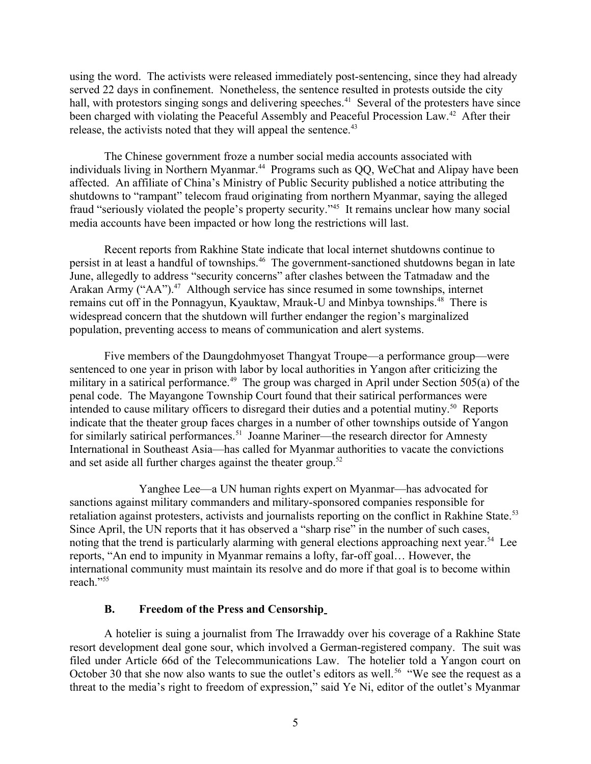using the word. The activists were released immediately post-sentencing, since they had already served 22 days in confinement. Nonetheless, the sentence resulted in protests outside the city hall, with protestors singing songs and delivering speeches.<sup>41</sup> Several of the protesters have since been charged with violating the Peaceful Assembly and Peaceful Procession Law.<sup>42</sup> After their release, the activists noted that they will appeal the sentence.<sup>43</sup>

The Chinese government froze a number social media accounts associated with individuals living in Northern Myanmar.<sup>44</sup> Programs such as QQ, WeChat and Alipay have been affected. An affiliate of China's Ministry of Public Security published a notice attributing the shutdowns to "rampant" telecom fraud originating from northern Myanmar, saying the alleged fraud "seriously violated the people's property security."<sup>45</sup> It remains unclear how many social media accounts have been impacted or how long the restrictions will last.

Recent reports from Rakhine State indicate that local internet shutdowns continue to persist in at least a handful of townships.<sup>46</sup> The government-sanctioned shutdowns began in late June, allegedly to address "security concerns" after clashes between the Tatmadaw and the Arakan Army ("AA").<sup>47</sup> Although service has since resumed in some townships, internet remains cut off in the Ponnagyun, Kyauktaw, Mrauk-U and Minbya townships.<sup>48</sup> There is widespread concern that the shutdown will further endanger the region's marginalized population, preventing access to means of communication and alert systems.

Five members of the Daungdohmyoset Thangyat Troupe—a performance group—were sentenced to one year in prison with labor by local authorities in Yangon after criticizing the military in a satirical performance.<sup>49</sup> The group was charged in April under Section 505(a) of the penal code. The Mayangone Township Court found that their satirical performances were intended to cause military officers to disregard their duties and a potential mutiny.<sup>50</sup> Reports indicate that the theater group faces charges in a number of other townships outside of Yangon for similarly satirical performances.<sup>51</sup> Joanne Mariner—the research director for Amnesty International in Southeast Asia—has called for Myanmar authorities to vacate the convictions and set aside all further charges against the theater group.<sup>52</sup>

Yanghee Lee—a UN human rights expert on Myanmar—has advocated for sanctions against military commanders and military-sponsored companies responsible for retaliation against protesters, activists and journalists reporting on the conflict in Rakhine State.<sup>53</sup> Since April, the UN reports that it has observed a "sharp rise" in the number of such cases, noting that the trend is particularly alarming with general elections approaching next vear.<sup>54</sup> Lee reports, "An end to impunity in Myanmar remains a lofty, far-off goal… However, the international community must maintain its resolve and do more if that goal is to become within reach."<sup>55</sup>

## <span id="page-4-0"></span>**B. Freedom of the Press and Censorship**

A hotelier is suing a journalist from The Irrawaddy over his coverage of a Rakhine State resort development deal gone sour, which involved a German-registered company. The suit was filed under Article 66d of the Telecommunications Law. The hotelier told a Yangon court on October 30 that she now also wants to sue the outlet's editors as well.<sup>56</sup> "We see the request as a threat to the media's right to freedom of expression," said Ye Ni, editor of the outlet's Myanmar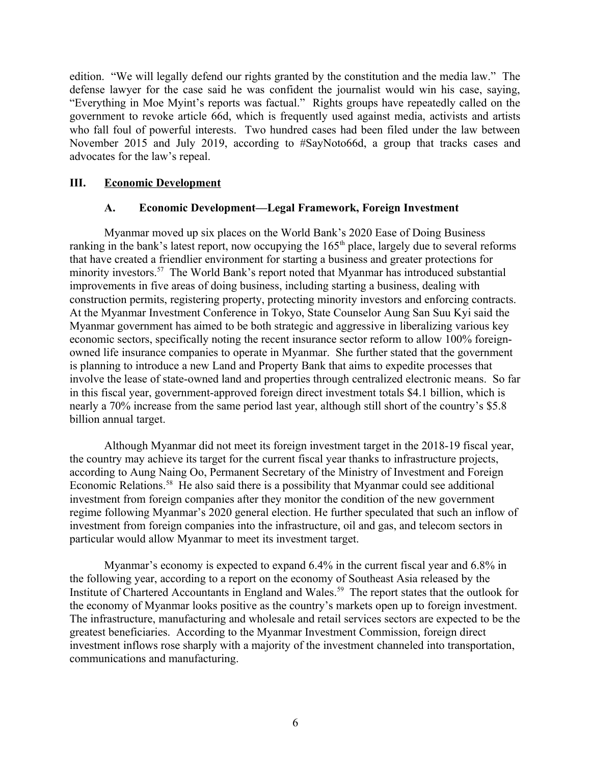edition. "We will legally defend our rights granted by the constitution and the media law." The defense lawyer for the case said he was confident the journalist would win his case, saying, "Everything in Moe Myint's reports was factual." Rights groups have repeatedly called on the government to revoke article 66d, which is frequently used against media, activists and artists who fall foul of powerful interests. Two hundred cases had been filed under the law between November 2015 and July 2019, according to #SayNoto66d, a group that tracks cases and advocates for the law's repeal.

## **III. Economic Development**

## <span id="page-5-1"></span><span id="page-5-0"></span>**A. Economic Development—Legal Framework, Foreign Investment**

Myanmar moved up six places on the World Bank's 2020 Ease of Doing Business ranking in the bank's latest report, now occupying the  $165<sup>th</sup>$  place, largely due to several reforms that have created a friendlier environment for starting a business and greater protections for minority investors.<sup>57</sup> The World Bank's report noted that Myanmar has introduced substantial improvements in five areas of doing business, including starting a business, dealing with construction permits, registering property, protecting minority investors and enforcing contracts. At the Myanmar Investment Conference in Tokyo, State Counselor Aung San Suu Kyi said the Myanmar government has aimed to be both strategic and aggressive in liberalizing various key economic sectors, specifically noting the recent insurance sector reform to allow 100% foreignowned life insurance companies to operate in Myanmar. She further stated that the government is planning to introduce a new Land and Property Bank that aims to expedite processes that involve the lease of state-owned land and properties through centralized electronic means. So far in this fiscal year, government-approved foreign direct investment totals \$4.1 billion, which is nearly a 70% increase from the same period last year, although still short of the country's \$5.8 billion annual target.

Although Myanmar did not meet its foreign investment target in the 2018-19 fiscal year, the country may achieve its target for the current fiscal year thanks to infrastructure projects, according to Aung Naing Oo, Permanent Secretary of the Ministry of Investment and Foreign Economic Relations.<sup>58</sup> He also said there is a possibility that Myanmar could see additional investment from foreign companies after they monitor the condition of the new government regime following Myanmar's 2020 general election. He further speculated that such an inflow of investment from foreign companies into the infrastructure, oil and gas, and telecom sectors in particular would allow Myanmar to meet its investment target.

Myanmar's economy is expected to expand 6.4% in the current fiscal year and 6.8% in the following year, according to a report on the economy of Southeast Asia released by the Institute of Chartered Accountants in England and Wales.<sup>59</sup> The report states that the outlook for the economy of Myanmar looks positive as the country's markets open up to foreign investment. The infrastructure, manufacturing and wholesale and retail services sectors are expected to be the greatest beneficiaries. According to the Myanmar Investment Commission, foreign direct investment inflows rose sharply with a majority of the investment channeled into transportation, communications and manufacturing.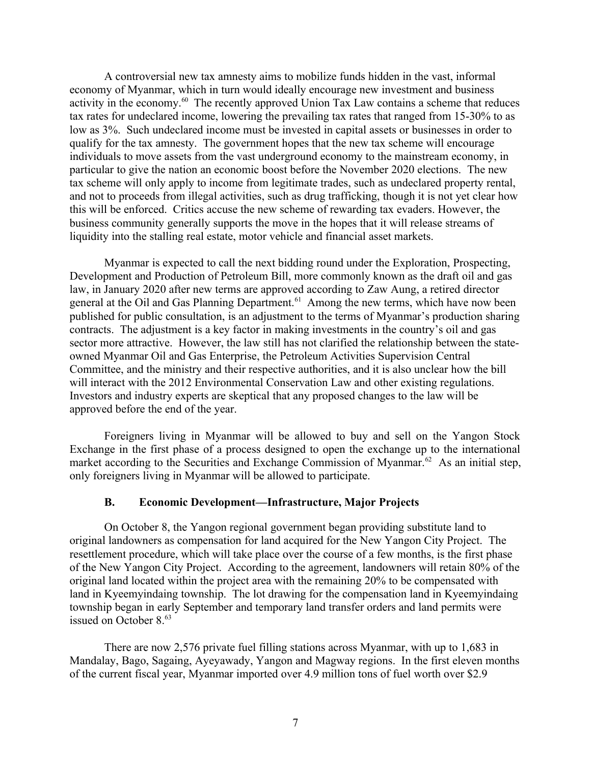A controversial new tax amnesty aims to mobilize funds hidden in the vast, informal economy of Myanmar, which in turn would ideally encourage new investment and business activity in the economy.<sup>60</sup> The recently approved Union Tax Law contains a scheme that reduces tax rates for undeclared income, lowering the prevailing tax rates that ranged from 15-30% to as low as 3%. Such undeclared income must be invested in capital assets or businesses in order to qualify for the tax amnesty. The government hopes that the new tax scheme will encourage individuals to move assets from the vast underground economy to the mainstream economy, in particular to give the nation an economic boost before the November 2020 elections. The new tax scheme will only apply to income from legitimate trades, such as undeclared property rental, and not to proceeds from illegal activities, such as drug trafficking, though it is not yet clear how this will be enforced. Critics accuse the new scheme of rewarding tax evaders. However, the business community generally supports the move in the hopes that it will release streams of liquidity into the stalling real estate, motor vehicle and financial asset markets.

Myanmar is expected to call the next bidding round under the Exploration, Prospecting, Development and Production of Petroleum Bill, more commonly known as the draft oil and gas law, in January 2020 after new terms are approved according to Zaw Aung, a retired director general at the Oil and Gas Planning Department.<sup>61</sup> Among the new terms, which have now been published for public consultation, is an adjustment to the terms of Myanmar's production sharing contracts. The adjustment is a key factor in making investments in the country's oil and gas sector more attractive. However, the law still has not clarified the relationship between the stateowned Myanmar Oil and Gas Enterprise, the Petroleum Activities Supervision Central Committee, and the ministry and their respective authorities, and it is also unclear how the bill will interact with the 2012 Environmental Conservation Law and other existing regulations. Investors and industry experts are skeptical that any proposed changes to the law will be approved before the end of the year.

Foreigners living in Myanmar will be allowed to buy and sell on the Yangon Stock Exchange in the first phase of a process designed to open the exchange up to the international market according to the Securities and Exchange Commission of Myanmar.<sup>62</sup> As an initial step, only foreigners living in Myanmar will be allowed to participate.

## <span id="page-6-0"></span>**B. Economic Development—Infrastructure, Major Projects**

On October 8, the Yangon regional government began providing substitute land to original landowners as compensation for land acquired for the New Yangon City Project. The resettlement procedure, which will take place over the course of a few months, is the first phase of the New Yangon City Project. According to the agreement, landowners will retain 80% of the original land located within the project area with the remaining 20% to be compensated with land in Kyeemyindaing township. The lot drawing for the compensation land in Kyeemyindaing township began in early September and temporary land transfer orders and land permits were issued on October 8.<sup>63</sup>

There are now 2,576 private fuel filling stations across Myanmar, with up to 1,683 in Mandalay, Bago, Sagaing, Ayeyawady, Yangon and Magway regions. In the first eleven months of the current fiscal year, Myanmar imported over 4.9 million tons of fuel worth over \$2.9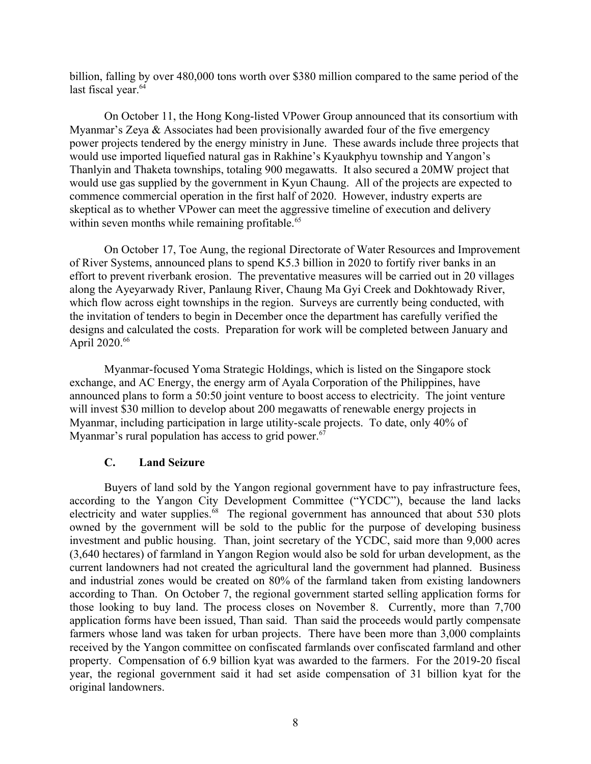billion, falling by over 480,000 tons worth over \$380 million compared to the same period of the last fiscal year.<sup>64</sup>

On October 11, the Hong Kong-listed VPower Group announced that its consortium with Myanmar's Zeya & Associates had been provisionally awarded four of the five emergency power projects tendered by the energy ministry in June. These awards include three projects that would use imported liquefied natural gas in Rakhine's Kyaukphyu township and Yangon's Thanlyin and Thaketa townships, totaling 900 megawatts. It also secured a 20MW project that would use gas supplied by the government in Kyun Chaung. All of the projects are expected to commence commercial operation in the first half of 2020. However, industry experts are skeptical as to whether VPower can meet the aggressive timeline of execution and delivery within seven months while remaining profitable.<sup>65</sup>

On October 17, Toe Aung, the regional Directorate of Water Resources and Improvement of River Systems, announced plans to spend K5.3 billion in 2020 to fortify river banks in an effort to prevent riverbank erosion. The preventative measures will be carried out in 20 villages along the Ayeyarwady River, Panlaung River, Chaung Ma Gyi Creek and Dokhtowady River, which flow across eight townships in the region. Surveys are currently being conducted, with the invitation of tenders to begin in December once the department has carefully verified the designs and calculated the costs. Preparation for work will be completed between January and April 2020.<sup>66</sup>

Myanmar-focused Yoma Strategic Holdings, which is listed on the Singapore stock exchange, and AC Energy, the energy arm of Ayala Corporation of the Philippines, have announced plans to form a 50:50 joint venture to boost access to electricity. The joint venture will invest \$30 million to develop about 200 megawatts of renewable energy projects in Myanmar, including participation in large utility-scale projects. To date, only 40% of Myanmar's rural population has access to grid power.<sup>67</sup>

#### <span id="page-7-0"></span>**C. Land Seizure**

Buyers of land sold by the Yangon regional government have to pay infrastructure fees, according to the Yangon City Development Committee ("YCDC"), because the land lacks electricity and water supplies.<sup>68</sup> The regional government has announced that about 530 plots owned by the government will be sold to the public for the purpose of developing business investment and public housing. Than, joint secretary of the YCDC, said more than 9,000 acres (3,640 hectares) of farmland in Yangon Region would also be sold for urban development, as the current landowners had not created the agricultural land the government had planned. Business and industrial zones would be created on 80% of the farmland taken from existing landowners according to Than. On October 7, the regional government started selling application forms for those looking to buy land. The process closes on November 8. Currently, more than 7,700 application forms have been issued, Than said. Than said the proceeds would partly compensate farmers whose land was taken for urban projects. There have been more than 3,000 complaints received by the Yangon committee on confiscated farmlands over confiscated farmland and other property. Compensation of 6.9 billion kyat was awarded to the farmers. For the 2019-20 fiscal year, the regional government said it had set aside compensation of 31 billion kyat for the original landowners.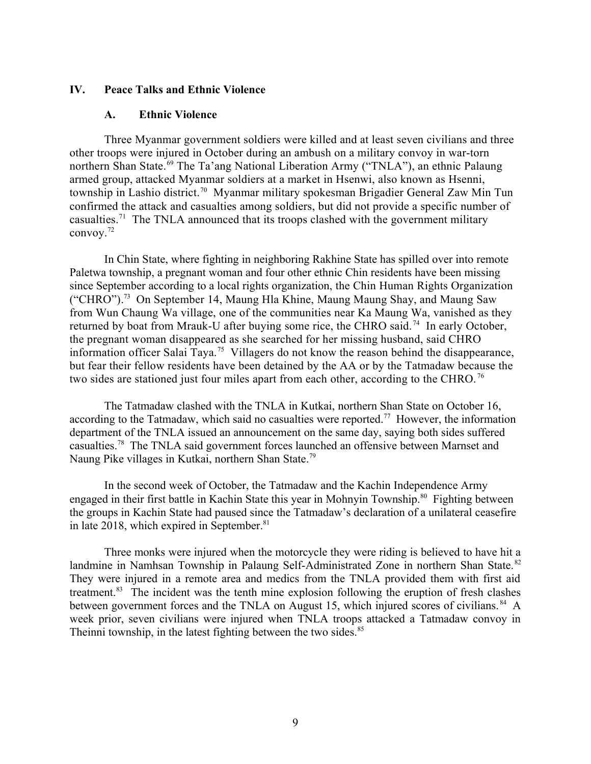#### **IV. Peace Talks and Ethnic Violence**

#### <span id="page-8-1"></span><span id="page-8-0"></span>**A. Ethnic Violence**

Three Myanmar government soldiers were killed and at least seven civilians and three other troops were injured in October during an ambush on a military convoy in war-torn northern Shan State.<sup>69</sup> The Ta'ang National Liberation Army ("TNLA"), an ethnic Palaung armed group, attacked Myanmar soldiers at a market in Hsenwi, also known as Hsenni, township in Lashio district.<sup>70</sup> Myanmar military spokesman Brigadier General Zaw Min Tun confirmed the attack and casualties among soldiers, but did not provide a specific number of casualties.<sup>71</sup> The TNLA announced that its troops clashed with the government military convoy.<sup>72</sup>

In Chin State, where fighting in neighboring Rakhine State has spilled over into remote Paletwa township, a pregnant woman and four other ethnic Chin residents have been missing since September according to a local rights organization, the Chin Human Rights Organization ("CHRO").<sup>73</sup> On September 14, Maung Hla Khine, Maung Maung Shay, and Maung Saw from Wun Chaung Wa village, one of the communities near Ka Maung Wa, vanished as they returned by boat from Mrauk-U after buying some rice, the CHRO said. <sup>74</sup> In early October, the pregnant woman disappeared as she searched for her missing husband, said CHRO information officer Salai Taya.<sup>75</sup> Villagers do not know the reason behind the disappearance, but fear their fellow residents have been detained by the AA or by the Tatmadaw because the two sides are stationed just four miles apart from each other, according to the CHRO.<sup>76</sup>

The Tatmadaw clashed with the TNLA in Kutkai, northern Shan State on October 16, according to the Tatmadaw, which said no casualties were reported.<sup>77</sup> However, the information department of the TNLA issued an announcement on the same day, saying both sides suffered casualties.<sup>78</sup> The TNLA said government forces launched an offensive between Marnset and Naung Pike villages in Kutkai, northern Shan State.<sup>79</sup>

In the second week of October, the Tatmadaw and the Kachin Independence Army engaged in their first battle in Kachin State this year in Mohnyin Township.<sup>80</sup> Fighting between the groups in Kachin State had paused since the Tatmadaw's declaration of a unilateral ceasefire in late 2018, which expired in September.<sup>81</sup>

Three monks were injured when the motorcycle they were riding is believed to have hit a landmine in Namhsan Township in Palaung Self-Administrated Zone in northern Shan State.<sup>82</sup> They were injured in a remote area and medics from the TNLA provided them with first aid treatment.<sup>83</sup> The incident was the tenth mine explosion following the eruption of fresh clashes between government forces and the TNLA on August 15, which injured scores of civilians. <sup>84</sup> A week prior, seven civilians were injured when TNLA troops attacked a Tatmadaw convoy in Theinni township, in the latest fighting between the two sides. $85$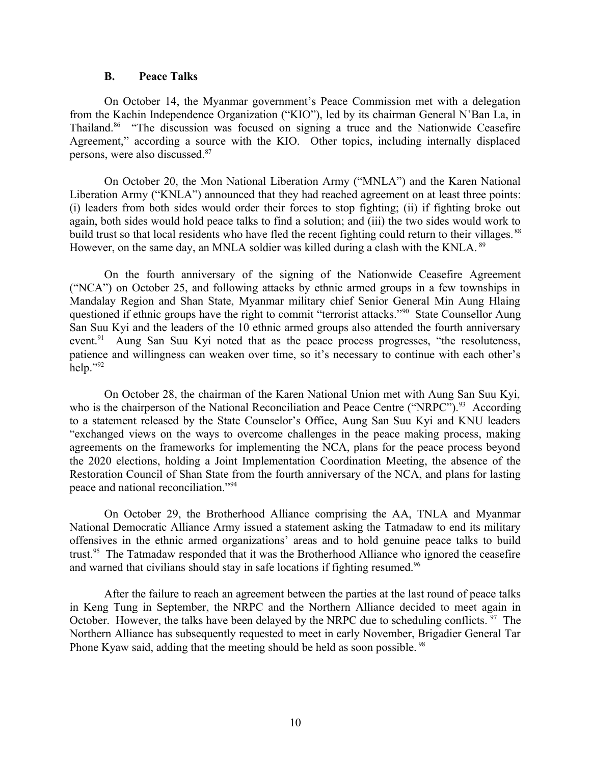#### <span id="page-9-0"></span>**B. Peace Talks**

On October 14, the Myanmar government's Peace Commission met with a delegation from the Kachin Independence Organization ("KIO"), led by its chairman General N'Ban La, in Thailand.<sup>86</sup> "The discussion was focused on signing a truce and the Nationwide Ceasefire Agreement," according a source with the KIO. Other topics, including internally displaced persons, were also discussed.<sup>87</sup>

On October 20, the Mon National Liberation Army ("MNLA") and the Karen National Liberation Army ("KNLA") announced that they had reached agreement on at least three points: (i) leaders from both sides would order their forces to stop fighting; (ii) if fighting broke out again, both sides would hold peace talks to find a solution; and (iii) the two sides would work to build trust so that local residents who have fled the recent fighting could return to their villages.<sup>88</sup> However, on the same day, an MNLA soldier was killed during a clash with the KNLA. <sup>89</sup>

On the fourth anniversary of the signing of the Nationwide Ceasefire Agreement ("NCA") on October 25, and following attacks by ethnic armed groups in a few townships in Mandalay Region and Shan State, Myanmar military chief Senior General Min Aung Hlaing questioned if ethnic groups have the right to commit "terrorist attacks."<sup>90</sup> State Counsellor Aung San Suu Kyi and the leaders of the 10 ethnic armed groups also attended the fourth anniversary event.<sup>91</sup> Aung San Suu Kyi noted that as the peace process progresses, "the resoluteness, patience and willingness can weaken over time, so it's necessary to continue with each other's help." $92$ 

On October 28, the chairman of the Karen National Union met with Aung San Suu Kyi, who is the chairperson of the National Reconciliation and Peace Centre ("NRPC").<sup>93</sup> According to a statement released by the State Counselor's Office, Aung San Suu Kyi and KNU leaders "exchanged views on the ways to overcome challenges in the peace making process, making agreements on the frameworks for implementing the NCA, plans for the peace process beyond the 2020 elections, holding a Joint Implementation Coordination Meeting, the absence of the Restoration Council of Shan State from the fourth anniversary of the NCA, and plans for lasting peace and national reconciliation."<sup>94</sup>

On October 29, the Brotherhood Alliance comprising the AA, TNLA and Myanmar National Democratic Alliance Army issued a statement asking the Tatmadaw to end its military offensives in the ethnic armed organizations' areas and to hold genuine peace talks to build trust.<sup>95</sup> The Tatmadaw responded that it was the Brotherhood Alliance who ignored the ceasefire and warned that civilians should stay in safe locations if fighting resumed.<sup>96</sup>

After the failure to reach an agreement between the parties at the last round of peace talks in Keng Tung in September, the NRPC and the Northern Alliance decided to meet again in October. However, the talks have been delayed by the NRPC due to scheduling conflicts.  $\frac{97}{97}$  The Northern Alliance has subsequently requested to meet in early November, Brigadier General Tar Phone Kyaw said, adding that the meeting should be held as soon possible. <sup>98</sup>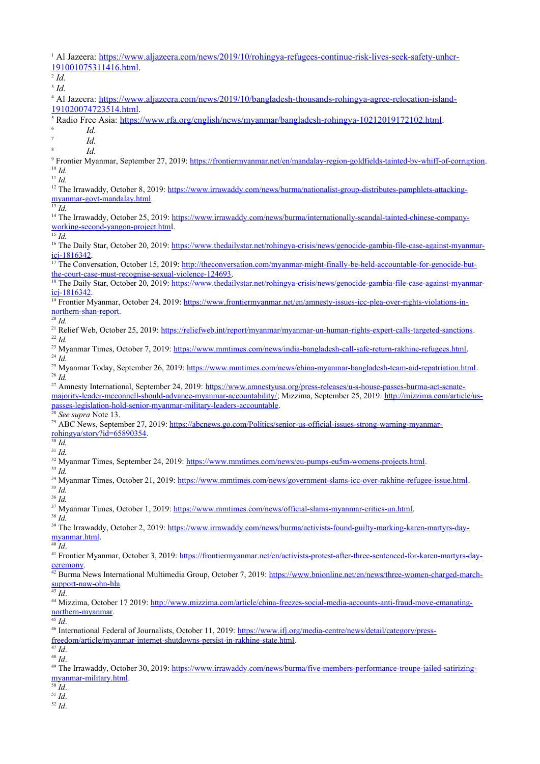<sup>1</sup> Al Jazeera: [https://www.aljazeera.com/news/2019/10/rohingya-refugees-continue-risk-lives-seek-safety-unhcr-](https://www.aljazeera.com/news/2019/10/rohingya-refugees-continue-risk-lives-seek-safety-unhcr-191001075311416.html)[191001075311416.html.](https://www.aljazeera.com/news/2019/10/rohingya-refugees-continue-risk-lives-seek-safety-unhcr-191001075311416.html)

2 *Id.*

3 *Id.*

4 Al Jazeera: [https://www.aljazeera.com/news/2019/10/bangladesh-thousands-rohingya-agree-relocation-island-](https://www.aljazeera.com/news/2019/10/bangladesh-thousands-rohingya-agree-relocation-island-191020074723514.html)

[191020074723514.html.](https://www.aljazeera.com/news/2019/10/bangladesh-thousands-rohingya-agree-relocation-island-191020074723514.html)

<sup>5</sup> Radio Free Asia:<https://www.rfa.org/english/news/myanmar/bangladesh-rohingya-10212019172102.html>.

6 *Id.*

7 *Id.* 8

*Id.*

<sup>9</sup> Frontier Myanmar, September 27, 2019:<https://frontiermyanmar.net/en/mandalay-region-goldfields-tainted-by-whiff-of-corruption>. <sup>10</sup> *Id.*

<sup>11</sup> *Id.*

<sup>12</sup> The Irrawaddy, October 8, 2019: [https://www.irrawaddy.com/news/burma/nationalist-group-distributes-pamphlets-attacking](https://www.irrawaddy.com/news/burma/nationalist-group-distributes-pamphlets-attacking-myanmar-govt-mandalay.html)[myanmar-govt-mandalay.html](https://www.irrawaddy.com/news/burma/nationalist-group-distributes-pamphlets-attacking-myanmar-govt-mandalay.html).

 $\overline{\big)}$ <sup>13</sup> *Id.* 

<sup>14</sup> The Irrawaddy, October 25, 2019: [https://www.irrawaddy.com/news/burma/internationally-scandal-tainted-chinese-company](https://www.irrawaddy.com/news/burma/internationally-scandal-tainted-chinese-company-working-second-yangon-project.htm)[working-second-yangon-project.htm](https://www.irrawaddy.com/news/burma/internationally-scandal-tainted-chinese-company-working-second-yangon-project.htm)l.

 $^{15}$  *Id.* 

<sup>16</sup> The Daily Star, October 20, 2019: [https://www.thedailystar.net/rohingya-crisis/news/genocide-gambia-file-case-against-myanmar-](https://www.thedailystar.net/rohingya-crisis/news/genocide-gambia-file-case-against-myanmar-icj-1816342) $\frac{1}{17}$   $\frac{1816342}{17}$ 

17 The Conversation, October 15, 2019: [http://theconversation.com/myanmar-might-finally-be-held-accountable-for-genocide-but](http://theconversation.com/myanmar-might-finally-be-held-accountable-for-genocide-but-the-court-case-must-recognise-sexual-violence-124693)[the-court-case-must-recognise-sexual-violence-124693](http://theconversation.com/myanmar-might-finally-be-held-accountable-for-genocide-but-the-court-case-must-recognise-sexual-violence-124693).

<sup>18</sup> The Daily Star, October 20, 2019: [https://www.thedailystar.net/rohingya-crisis/news/genocide-gambia-file-case-against-myanmar](https://www.thedailystar.net/rohingya-crisis/news/genocide-gambia-file-case-against-myanmar-icj-1816342)[icj-1816342](https://www.thedailystar.net/rohingya-crisis/news/genocide-gambia-file-case-against-myanmar-icj-1816342).

<sup>19</sup> Frontier Myanmar, October 24, 2019: [https://www.frontiermyanmar.net/en/amnesty-issues-icc-plea-over-rights-violations-in](https://www.frontiermyanmar.net/en/amnesty-issues-icc-plea-over-rights-violations-in-northern-shan-report)[northern-shan-report](https://www.frontiermyanmar.net/en/amnesty-issues-icc-plea-over-rights-violations-in-northern-shan-report).

<sup>20</sup> *Id.*

<sup>21</sup> Relief Web, October 25, 2019: [https://reliefweb.int/report/myanmar/myanmar-un-human-rights-expert-calls-targeted-sanctions.](https://reliefweb.int/report/myanmar/myanmar-un-human-rights-expert-calls-targeted-sanctions) <sup>22</sup> *Id.*

<sup>23</sup> Myanmar Times, October 7, 2019: [https://www.mmtimes.com/news/india-bangladesh-call-safe-return-rakhine-refugees.html.](https://www.mmtimes.com/news/india-bangladesh-call-safe-return-rakhine-refugees.html) <sup>24</sup> *Id.*

<sup>25</sup> Myanmar Today, September 26, 2019: <https://www.mmtimes.com/news/china-myanmar-bangladesh-team-aid-repatriation.html>. <sup>26</sup> *Id.*

<sup>27</sup> Amnesty International, September 24, 2019: [https://www.amnestyusa.org/press-releases/u-s-house-passes-burma-act-senate](https://www.amnestyusa.org/press-releases/u-s-house-passes-burma-act-senate-majority-leader-mcconnell-should-advance-myanmar-accountability/)[majority-leader-mcconnell-should-advance-myanmar-accountability/;](https://www.amnestyusa.org/press-releases/u-s-house-passes-burma-act-senate-majority-leader-mcconnell-should-advance-myanmar-accountability/) Mizzima, September 25, 2019: [http://mizzima.com/article/us](http://mizzima.com/article/us-passes-legislation-hold-senior-myanmar-military-leaders-accountable)[passes-legislation-hold-senior-myanmar-military-leaders-accountable](http://mizzima.com/article/us-passes-legislation-hold-senior-myanmar-military-leaders-accountable).

<sup>28</sup> *See supra* Note 13.

<sup>29</sup> ABC News, September 27, 2019; [https://abcnews.go.com/Politics/senior-us-official-issues-strong-warning-myanmar](https://abcnews.go.com/Politics/senior-us-official-issues-strong-warning-myanmar-rohingya/story?id=65890354)[rohingya/story?id=65890354](https://abcnews.go.com/Politics/senior-us-official-issues-strong-warning-myanmar-rohingya/story?id=65890354).

<sup>30</sup> *Id.* <sup>31</sup> *Id.*

<sup>32</sup> Myanmar Times, September 24, 2019: [https://www.mmtimes.com/news/eu-pumps-eu5m-womens-projects.html.](https://www.mmtimes.com/news/eu-pumps-eu5m-womens-projects.html)

<sup>33</sup> *Id.*

<sup>34</sup> Myanmar Times, October 21, 2019: <https://www.mmtimes.com/news/government-slams-icc-over-rakhine-refugee-issue.html>. <sup>35</sup> *Id.*

<sup>36</sup> *Id.*

<sup>37</sup> Myanmar Times, October 1, 2019:<https://www.mmtimes.com/news/official-slams-myanmar-critics-un.html>.

<sup>38</sup> *Id.*

<sup>39</sup> The Irrawaddy, October 2, 2019: [https://www.irrawaddy.com/news/burma/activists-found-guilty-marking-karen-martyrs-day](https://www.irrawaddy.com/news/burma/activists-found-guilty-marking-karen-martyrs-day-myanmar.html)[myanmar.html.](https://www.irrawaddy.com/news/burma/activists-found-guilty-marking-karen-martyrs-day-myanmar.html)

 $^{40}$  *Id*.

41 Frontier Myanmar, October 3, 2019: [https://frontiermyanmar.net/en/activists-protest-after-three-sentenced-for-karen-martyrs-day](https://frontiermyanmar.net/en/activists-protest-after-three-sentenced-for-karen-martyrs-day-ceremony)[ceremony](https://frontiermyanmar.net/en/activists-protest-after-three-sentenced-for-karen-martyrs-day-ceremony).

<sup>42</sup> Burma News International Multimedia Group, October 7, 2019: [https://www.bnionline.net/en/news/three-women-charged-march](https://www.bnionline.net/en/news/three-women-charged-march-support-naw-ohn-hla)[support-naw-ohn-hla](https://www.bnionline.net/en/news/three-women-charged-march-support-naw-ohn-hla).

 $\overline{43}$   $\overline{Id}$ .

<sup>44</sup> Mizzima, October 17 2019: [http://www.mizzima.com/article/china-freezes-social-media-accounts-anti-fraud-move-emanating](http://www.mizzima.com/article/china-freezes-social-media-accounts-anti-fraud-move-emanating-northern-myanmar)[northern-myanmar](http://www.mizzima.com/article/china-freezes-social-media-accounts-anti-fraud-move-emanating-northern-myanmar).

<sup>45</sup> *Id*.

<sup>46</sup> International Federal of Journalists, October 11, 2019: [https://www.ifj.org/media-centre/news/detail/category/press](https://www.ifj.org/media-centre/news/detail/category/press-freedom/article/myanmar-internet-shutdowns-persist-in-rakhine-state.html)[freedom/article/myanmar-internet-shutdowns-persist-in-rakhine-state.html](https://www.ifj.org/media-centre/news/detail/category/press-freedom/article/myanmar-internet-shutdowns-persist-in-rakhine-state.html).

<sup>47</sup> *Id*.

<sup>48</sup> *Id*.

<sup>49</sup> The Irrawaddy, October 30, 2019: [https://www.irrawaddy.com/news/burma/five-members-performance-troupe-jailed-satirizing](https://www.irrawaddy.com/news/burma/five-members-performance-troupe-jailed-satirizing-myanmar-military.html)[myanmar-military.html](https://www.irrawaddy.com/news/burma/five-members-performance-troupe-jailed-satirizing-myanmar-military.html).

<sup>50</sup> *Id*.

<sup>51</sup> *Id*.

<sup>52</sup> *Id*.